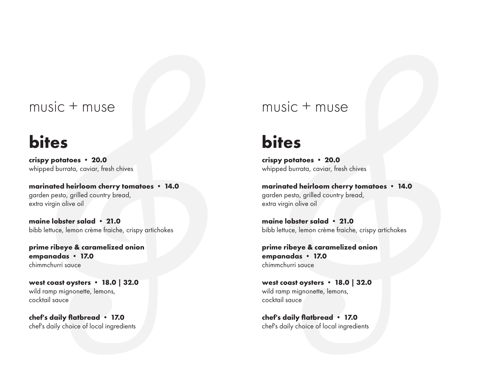### music + muse

## **bites**

### **crispy potatoes** • **20.0**

whipped burrata, caviar, fresh chives

**marinated heirloom cherry tomatoes** • **14.0** garden pesto, grilled country bread, extra virgin olive oil

### **maine lobster salad** • **21.0**

bibb lettuce, lemon crème fraiche, crispy artichokes

**prime ribeye & caramelized onion empanadas** • **17.0** chimmchurri sauce

### **west coast oysters** • **18.0 | 32.0**

wild ramp mignonette, lemons, cocktail sauce

### **chef's daily flatbread** • **17.0**

chef's daily choice of local ingredients